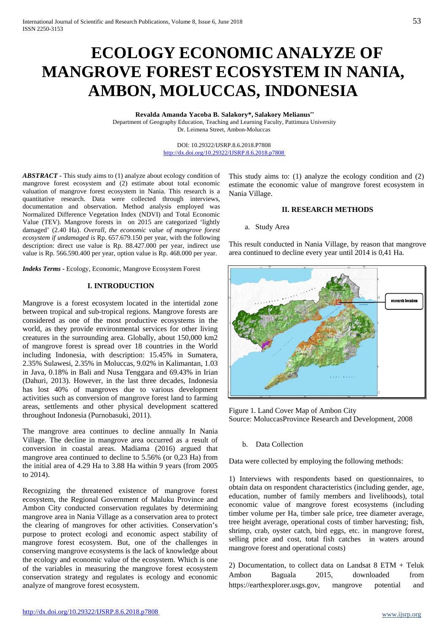# **ECOLOGY ECONOMIC ANALYZE OF MANGROVE FOREST ECOSYSTEM IN NANIA, AMBON, MOLUCCAS, INDONESIA**

**Revalda Amanda Yacoba B. Salakory\*, Salakory Melianus\*\*** Department of Geography Education, Teaching and Learning Faculty, Pattimura University Dr. Leimena Street, Ambon-Moluccas

> DOI: 10.29322/IJSRP.8.6.2018.P7808 <http://dx.doi.org/10.29322/IJSRP.8.6.2018.p7808>

*ABSTRACT -* This study aims to (1) analyze about ecology condition of mangrove forest ecosystem and (2) estimate about total economic valuation of mangrove forest ecosystem in Nania. This research is a quantitative research. Data were collected through interviews, documentation and observation. Method analysis employed was Normalized Difference Vegetation Index (NDVI) and Total Economic Value (TEV). Mangrove forests in on 2015 are categorized 'lightly damaged' (2.40 Ha). *Overall, the economic value of mangrove forest ecosystem if undamaged is* Rp. 657.679.150 per year, with the following description: direct use value is Rp. 88.427.000 per year, indirect use value is Rp. 566.590.400 per year, option value is Rp. 468.000 per year.

*Indeks Terms -* Ecology, Economic, Mangrove Ecosystem Forest

# **I. INTRODUCTION**

Mangrove is a forest ecosystem located in the intertidal zone between tropical and sub-tropical regions. Mangrove forests are considered as one of the most productive ecosystems in the world, as they provide environmental services for other living creatures in the surrounding area. Globally, about 150,000 km2 of mangrove forest is spread over 18 countries in the World including Indonesia, with description: 15.45% in Sumatera, 2.35% Sulawesi, 2.35% in Moluccas, 9.02% in Kalimantan, 1.03 in Java, 0.18% in Bali and Nusa Tenggara and 69.43% in Irian (Dahuri, 2013). However, in the last three decades, Indonesia has lost 40% of mangroves due to various development activities such as conversion of mangrove forest land to farming areas, settlements and other physical development scattered throughout Indonesia (Purnobasuki, 2011).

The mangrove area continues to decline annually In Nania Village. The decline in mangrove area occurred as a result of conversion in coastal areas. Madiama (2016) argued that mangrove area continued to decline to 5.56% (or 0,23 Ha) from the initial area of 4.29 Ha to 3.88 Ha within 9 years (from 2005 to 2014).

Recognizing the threatened existence of mangrove forest ecosystem, the Regional Government of Maluku Province and Ambon City conducted conservation regulates by determining mangrove area in Nania Village as a conservation area to protect the clearing of mangroves for other activities. Conservation's purpose to protect ecologi and economic aspect stability of mangrove forest ecosystem. But, one of the challenges in conserving mangrove ecosystems is the lack of knowledge about the ecology and economic value of the ecosystem. Which is one of the variables in measuring the mangrove forest ecosystem conservation strategy and regulates is ecology and economic analyze of mangrove forest ecosystem.

This study aims to: (1) analyze the ecology condition and (2) estimate the economic value of mangrove forest ecosystem in Nania Village.

# **II. RESEARCH METHODS**

#### a. Study Area

This result conducted in Nania Village, by reason that mangrove area continued to decline every year until 2014 is 0,41 Ha.



Figure 1. Land Cover Map of Ambon City Source: MoluccasProvince Research and Development, 2008

## b. Data Collection

Data were collected by employing the following methods:

1) Interviews with respondents based on questionnaires, to obtain data on respondent characteristics (including gender, age, education, number of family members and livelihoods), total economic value of mangrove forest ecosystems (including timber volume per Ha, timber sale price, tree diameter average, tree height average, operational costs of timber harvesting; fish, shrimp, crab, oyster catch, bird eggs, etc. in mangrove forest, selling price and cost, total fish catches in waters around mangrove forest and operational costs)

2) Documentation, to collect data on Landsat 8 ETM + Teluk Ambon Baguala 2015, downloaded from https://earthexplorer.usgs.gov, mangrove potential and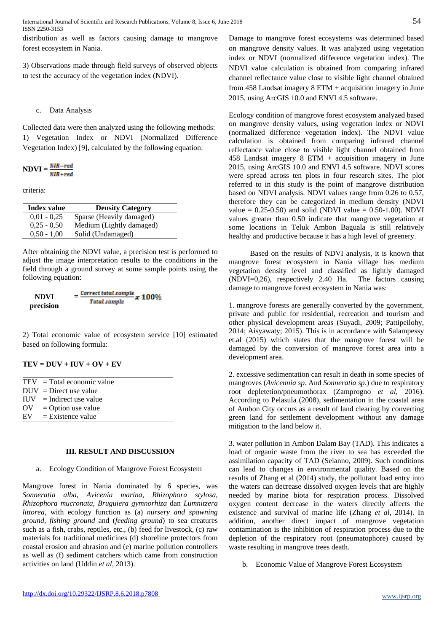International Journal of Scientific and Research Publications, Volume 8, Issue 6, June 2018 54 ISSN 2250-3153

distribution as well as factors causing damage to mangrove forest ecosystem in Nania.

3) Observations made through field surveys of observed objects to test the accuracy of the vegetation index (NDVI).

# c. Data Analysis

Collected data were then analyzed using the following methods: 1) Vegetation Index or NDVI (Normalized Difference Vegetation Index) [9], calculated by the following equation:

$$
NDVI = \frac{NIR-red}{NIR + red}
$$

criteria:

| <b>Index value</b> | <b>Density Category</b>  |  |
|--------------------|--------------------------|--|
| $0.01 - 0.25$      | Sparse (Heavily damaged) |  |
| $0.25 - 0.50$      | Medium (Lightly damaged) |  |
| $0.50 - 1.00$      | Solid (Undamaged)        |  |

After obtaining the NDVI value, a precision test is performed to adjust the image interpretation results to the conditions in the field through a ground survey at some sample points using the following equation:

$$
NDVI = \frac{\text{Correct total sample}}{\text{Total sample}} x 100\%
$$

2) Total economic value of ecosystem service [10] estimated based on following formula:

| $TEV = DUV + IUV + OV + EV$ |  |  |
|-----------------------------|--|--|
|-----------------------------|--|--|

|                               | $TEV = Total economic value$ |
|-------------------------------|------------------------------|
|                               | $DUV = Direct use value$     |
|                               | $HJV = Indirect use value$   |
| $\overline{\text{O}}\text{V}$ | $=$ Option use value         |
| $E$ V                         | $=$ Existence value          |

# **III. RESULT AND DISCUSSION**

a. Ecology Condition of Mangrove Forest Ecosystem

Mangrove forest in Nania dominated by 6 species, was *Sonneratia alba, Avicenia marina, Rhizophora stylosa, Rhizophora mucronata, Bruguiera gymnorhiza* dan *Lumnitzera littorea*, with ecology function as (a) *nursery and spawning ground*, *fishing ground* and (*feeding ground*) to sea creatures such as a fish, crabs, reptiles, etc., (b) feed for livestock, (c) raw materials for traditional medicines (d) shoreline protectors from coastal erosion and abrasion and (e) marine pollution controllers as well as (f) sediment catchers which came from construction activities on land (Uddin *et al*, 2013).

Damage to mangrove forest ecosystems was determined based on mangrove density values. It was analyzed using vegetation index or NDVI (normalized difference vegetation index). The NDVI value calculation is obtained from comparing infrared channel reflectance value close to visible light channel obtained from 458 Landsat imagery 8 ETM + acquisition imagery in June 2015, using ArcGIS 10.0 and ENVI 4.5 software.

Ecology condition of mangrove forest ecosystem analyzed based on mangrove density values, using vegetation index or NDVI (normalized difference vegetation index). The NDVI value calculation is obtained from comparing infrared channel reflectance value close to visible light channel obtained from 458 Landsat imagery 8 ETM + acquisition imagery in June 2015, using ArcGIS 10.0 and ENVI 4.5 software. NDVI scores were spread across ten plots in four research sites. The plot referred to in this study is the point of mangrove distribution based on NDVI analysis. NDVI values range from 0.26 to 0.57, therefore they can be categorized in medium density (NDVI value =  $0.25 - 0.50$  and solid (NDVI value = 0.50-1.00). NDVI values greater than 0.50 indicate that mangrove vegetation at some locations in Teluk Ambon Baguala is still relatively healthy and productive because it has a high level of greenery.

Based on the results of NDVI analysis, it is known that mangrove forest ecosystem in Nania village has medium vegetation density level and classified as lightly damaged (NDVI=0,26), respectively 2.40 Ha. The factors causing damage to mangrove forest ecosystem in Nania was:

1. mangrove forests are generally converted by the government, private and public for residential, recreation and tourism and other physical development areas (Suyadi, 2009; Pattipeilohy, 2014; Aisyawaty; 2015). This is in accordance with Salampessy et.al (2015) which states that the mangrove forest will be damaged by the conversion of mangrove forest area into a development area.

2. excessive sedimentation can result in death in some species of mangroves (*Avicennia sp*. And *Sonneratia sp*.) due to respiratory root depletetion/pneumothorax (Zamprogno *et al*, 2016). According to Pelasula (2008), sedimentation in the coastal area of Ambon City occurs as a result of land clearing by converting green land for settlement development without any damage mitigation to the land below it.

3. water pollution in Ambon Dalam Bay (TAD). This indicates a load of organic waste from the river to sea has exceeded the assimilation capacity of TAD (Selanno, 2009). Such conditions can lead to changes in environmental quality. Based on the results of Zhang et al (2014) study, the pollutant load entry into the waters can decrease dissolved oxygen levels that are highly needed by marine biota for respiration process. Dissolved oxygen content decrease in the waters directly affects the existence and survival of marine life (Zhang *et al*, 2014). In addition, another direct impact of mangrove vegetation contamination is the inhibition of respiration process due to the depletion of the respiratory root (pneumatophore) caused by waste resulting in mangrove trees death.

b. Economic Value of Mangrove Forest Ecosystem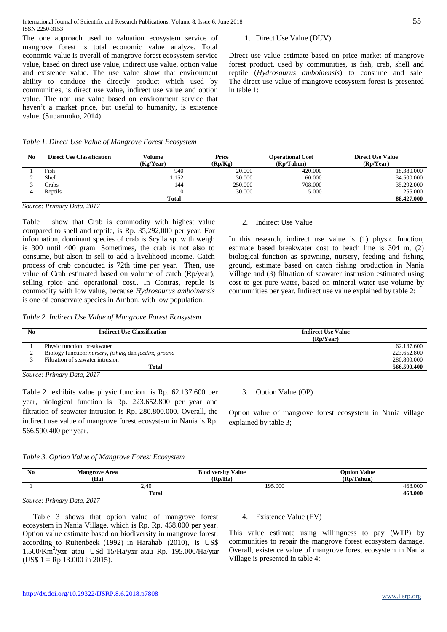The one approach used to valuation ecosystem service of mangrove forest is total economic value analyze. Total economic value is overall of mangrove forest ecosystem service value, based on direct use value, indirect use value, option value and existence value. The use value show that environment ability to conduce the directly product which used by communities, is direct use value, indirect use value and option value. The non use value based on environment service that haven't a market price, but useful to humanity, is existence value. (Suparmoko, 2014).

## *Table 1. Direct Use Value of Mangrove Forest Ecosystem*

# 1. Direct Use Value (DUV)

Direct use value estimate based on price market of mangrove forest product, used by communities, is fish, crab, shell and reptile (*Hydrosaurus amboinensis*) to consume and sale. The direct use value of mangrove ecosystem forest is presented in table 1:

| No. | <b>Direct Use Classification</b> | Volume<br>(Kg/Year) | Price<br>(Rp/Kg) | <b>Operational Cost</b><br>(Rp/Tahun) | <b>Direct Use Value</b><br>(Rp/Year) |
|-----|----------------------------------|---------------------|------------------|---------------------------------------|--------------------------------------|
|     | Fish                             | 940                 | 20.000           | 420,000                               | 18.380.000                           |
|     | Shell                            | 1.152               | 30.000           | 60.000                                | 34.500.000                           |
|     | Crabs                            | 144                 | 250.000          | 708.000                               | 35.292.000                           |
|     | Reptils                          | 10                  | 30.000           | 5.000                                 | 255,000                              |
|     |                                  | <b>Total</b>        |                  |                                       | 88.427.000                           |

#### *Source: Primary Data, 2017*

Table 1 show that Crab is commodity with highest value compared to shell and reptile, is Rp. 35,292,000 per year. For information, dominant species of crab is Scylla sp. with weigh is 300 until 400 gram. Sometimes, the crab is not also to consume, but alson to sell to add a livelihood income. Catch process of crab conducted is 72th time per year. Then, use value of Crab estimated based on volume of catch (Rp/year), selling rpice and operational cost.. In Contras, reptile is commodity with low value, because *Hydrosaurus amboinensis* is one of conservate species in Ambon, with low population.

#### 2. Indirect Use Value

In this research, indirect use value is (1) physic function, estimate based breakwater cost to beach line is 304 m, (2) biological function as spawning, nursery, feeding and fishing ground, estimate based on catch fishing production in Nania Village and (3) filtration of seawater instrusion estimated using cost to get pure water, based on mineral water use volume by communities per year. Indirect use value explained by table 2:

*Table 2. Indirect Use Value of Mangrove Forest Ecosystem*

| N <sub>0</sub> | <b>Indirect Use Classification</b>                                                                             | <b>Indirect Use Value</b><br>(Rp/Year) |
|----------------|----------------------------------------------------------------------------------------------------------------|----------------------------------------|
|                | Physic function: breakwater                                                                                    | 62.137.600                             |
|                | Biology function: <i>nursery</i> , <i>fishing</i> dan <i>feeding ground</i>                                    | 223.652.800                            |
|                | Filtration of seawater intrusion                                                                               | 280.800.000                            |
|                | Total                                                                                                          | 566.590.400                            |
|                | $R_{\text{2}}$ $\ldots$ $R_{\text{m}}$ $\ldots$ $R_{\text{m}}$ $\ldots$ $R_{\text{m}}$ $\ldots$ $R_{\text{m}}$ |                                        |

*Source: Primary Data, 2017*

Table 2 exhibits value physic function is Rp. 62.137.600 per year, biological function is Rp. 223.652.800 per year and filtration of seawater intrusion is Rp. 280.800.000. Overall, the indirect use value of mangrove forest ecosystem in Nania is Rp. 566.590.400 per year.

# 3. Option Value (OP)

Option value of mangrove forest ecosystem in Nania village explained by table 3;

| N <sub>0</sub> | <b>Mangrove Area</b><br>(Ha) | <b>Biodiversity Value</b><br>(Rp/Ha) | <b>Option Value</b><br>(Rp/Tahun) |
|----------------|------------------------------|--------------------------------------|-----------------------------------|
|                | 2,40                         | 195.000                              | 468.000                           |
|                | <b>Total</b>                 |                                      | 468.000                           |
|                |                              |                                      |                                   |

*Source: Primary Data, 2017*

Table 3 shows that option value of mangrove forest ecosystem in Nania Village, which is Rp. Rp. 468.000 per year. Option value estimate based on biodiversity in mangrove forest, according to Ruitenbeek (1992) in Harahab (2010), is US\$ 1.500/Km<sup>2</sup>/year atau USd 15/Ha/year atau Rp. 195.000/Ha/year  $(US$ 1 = Rp 13.000 in 2015).$ 

### 4. Existence Value (EV)

This value estimate using willingness to pay (WTP) by communities to repair the mangrove forest ecosystem damage. Overall, existence value of mangrove forest ecosystem in Nania Village is presented in table 4: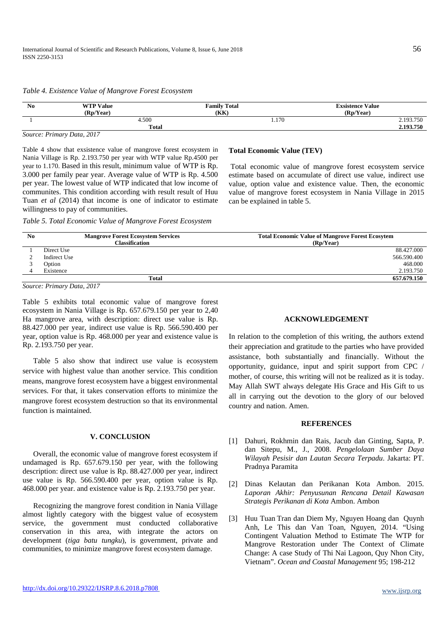| N <sub>0</sub> | <b>WTP Value</b> | <b>Family Total</b> | <b>Exsistence Value</b> |
|----------------|------------------|---------------------|-------------------------|
|                | (Rp/Year)        | (KK                 | (Rp/Year)               |
|                | 4.500            | 1.170               | 2.193.750               |
|                | <b>Total</b>     |                     | 2.193.750               |

#### *Table 4. Existence Value of Mangrove Forest Ecosystem*

Table 4 show that exsistence value of mangrove forest ecosystem in Nania Village is Rp. 2.193.750 per year with WTP value Rp.4500 per year to 1.170. Based in this result, minimum value of WTP is Rp. 3.000 per family pear year. Average value of WTP is Rp. 4.500 per year. The lowest value of WTP indicated that low income of communites. This condition according with result result of Huu Tuan *et al* (2014) that income is one of indicator to estimate willingness to pay of communities.

#### **Total Economic Value (TEV)**

Total economic value of mangrove forest ecosystem service estimate based on accumulate of direct use value, indirect use value, option value and existence value. Then, the economic value of mangrove forest ecosystem in Nania Village in 2015 can be explained in table 5.

*Table 5. Total Economic Value of Mangrove Forest Ecosystem*

| $\mathbf{N}\mathbf{0}$ |               | <b>Mangrove Forest Ecosystem Services</b> | <b>Total Economic Value of Mangrove Forest Ecosytem</b> |
|------------------------|---------------|-------------------------------------------|---------------------------------------------------------|
|                        |               | <b>Classification</b>                     | (Rp/Year)                                               |
|                        | Direct Use    |                                           | 88.427.000                                              |
|                        | Indirect Use  |                                           | 566.590.400                                             |
|                        | <b>Option</b> |                                           | 468,000                                                 |
|                        | Existence     |                                           | 2.193.750                                               |
|                        |               | <b>Total</b>                              | 657.679.150                                             |

*Source: Primary Data, 2017*

Table 5 exhibits total economic value of mangrove forest ecosystem in Nania Village is Rp. 657.679.150 per year to 2,40 Ha mangrove area, with description: direct use value is Rp. 88.427.000 per year, indirect use value is Rp. 566.590.400 per year, option value is Rp. 468.000 per year and existence value is Rp. 2.193.750 per year.

Table 5 also show that indirect use value is ecosystem service with highest value than another service. This condition means, mangrove forest ecosystem have a biggest environmental services. For that, it takes conservation efforts to minimize the mangrove forest ecosystem destruction so that its environmental function is maintained.

# **V. CONCLUSION**

Overall, the economic value of mangrove forest ecosystem if undamaged is Rp. 657.679.150 per year, with the following description: direct use value is Rp. 88.427.000 per year, indirect use value is Rp. 566.590.400 per year, option value is Rp. 468.000 per year. and existence value is Rp. 2.193.750 per year.

Recognizing the mangrove forest condition in Nania Village almost lightly category with the biggest value of ecosystem service, the government must conducted collaborative conservation in this area, with integrate the actors on development (*tiga batu tungku*), is government, private and communities, to minimize mangrove forest ecosystem damage.

# **ACKNOWLEDGEMENT**

In relation to the completion of this writing, the authors extend their appreciation and gratitude to the parties who have provided assistance, both substantially and financially. Without the opportunity, guidance, input and spirit support from CPC / mother, of course, this writing will not be realized as it is today. May Allah SWT always delegate His Grace and His Gift to us all in carrying out the devotion to the glory of our beloved country and nation. Amen.

# **REFERENCES**

- [1] Dahuri, Rokhmin dan Rais, Jacub dan Ginting, Sapta, P. dan Sitepu, M., J., 2008. *Pengelolaan Sumber Daya Wilayah Pesisir dan Lautan Secara Terpadu*. Jakarta: PT. Pradnya Paramita
- [2] Dinas Kelautan dan Perikanan Kota Ambon. 2015. *Laporan Akhir: Penyusunan Rencana Detail Kawasan Strategis Perikanan di Kota* Ambon. Ambon
- [3] [Huu Tuan](http://www.sciencedirect.com/science/article/pii/S0964569114001021) Tran dan Diem My, Nguyen Hoang dan [Quynh](http://www.sciencedirect.com/science/article/pii/S0964569114001021)  [Anh,](http://www.sciencedirect.com/science/article/pii/S0964569114001021) Le This dan Van Toan, Nguyen, 2014. "Using Contingent Valuation Method to Estimate The WTP for Mangrove Restoration under The Context of Climate Change: A case Study of Thi Nai Lagoon, Quy Nhon City, Vietnam". *[Ocean and Coastal Management](http://www.sciencedirect.com/science/journal/09645691)* 95; 198-212

*Source: Primary Data, 2017*